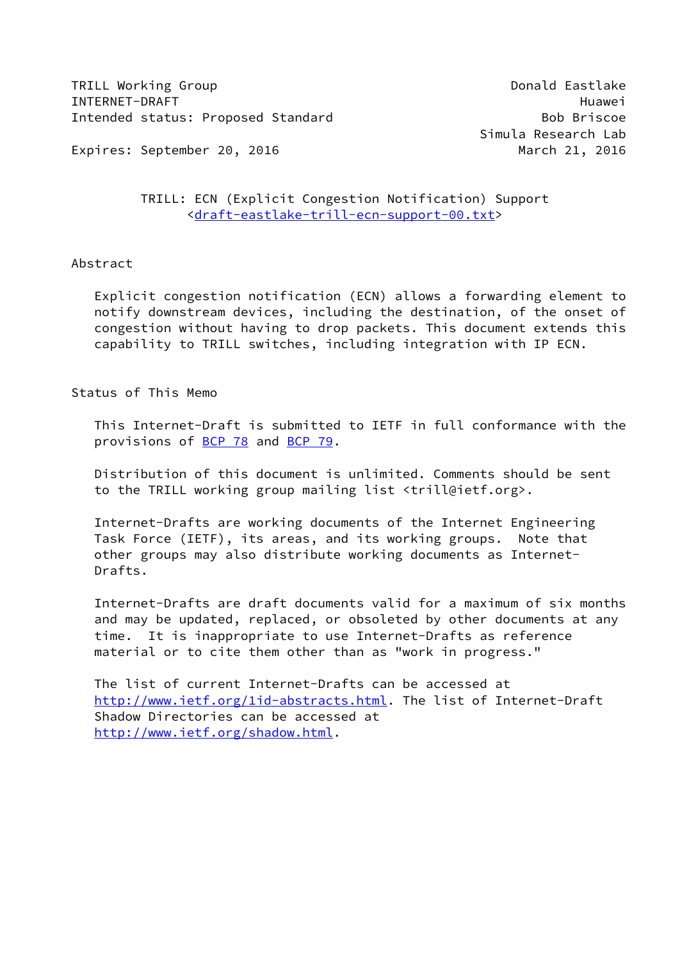TRILL Working Group **Donald Eastlake** INTERNET-DRAFT Huawei Intended status: Proposed Standard Bob Briscoe Bob Briscoe

Expires: September 20, 2016 March 21, 2016

## TRILL: ECN (Explicit Congestion Notification) Support [<draft-eastlake-trill-ecn-support-00.txt](https://datatracker.ietf.org/doc/pdf/draft-eastlake-trill-ecn-support-00.txt)>

### Abstract

 Explicit congestion notification (ECN) allows a forwarding element to notify downstream devices, including the destination, of the onset of congestion without having to drop packets. This document extends this capability to TRILL switches, including integration with IP ECN.

# Status of This Memo

 This Internet-Draft is submitted to IETF in full conformance with the provisions of [BCP 78](https://datatracker.ietf.org/doc/pdf/bcp78) and [BCP 79](https://datatracker.ietf.org/doc/pdf/bcp79).

 Distribution of this document is unlimited. Comments should be sent to the TRILL working group mailing list <trill@ietf.org>.

 Internet-Drafts are working documents of the Internet Engineering Task Force (IETF), its areas, and its working groups. Note that other groups may also distribute working documents as Internet- Drafts.

 Internet-Drafts are draft documents valid for a maximum of six months and may be updated, replaced, or obsoleted by other documents at any time. It is inappropriate to use Internet-Drafts as reference material or to cite them other than as "work in progress."

 The list of current Internet-Drafts can be accessed at <http://www.ietf.org/1id-abstracts.html>. The list of Internet-Draft Shadow Directories can be accessed at <http://www.ietf.org/shadow.html>.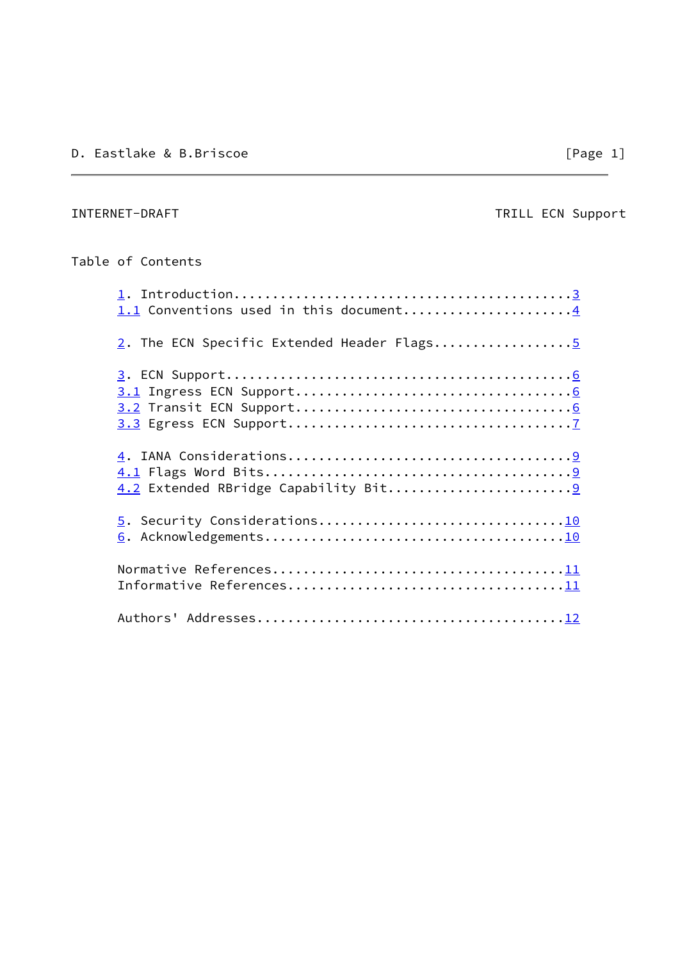# INTERNET-DRAFT TRILL ECN Support

# Table of Contents

| 1.1 Conventions used in this document4     |  |
|--------------------------------------------|--|
| 2. The ECN Specific Extended Header Flags5 |  |
|                                            |  |
|                                            |  |
|                                            |  |
|                                            |  |
|                                            |  |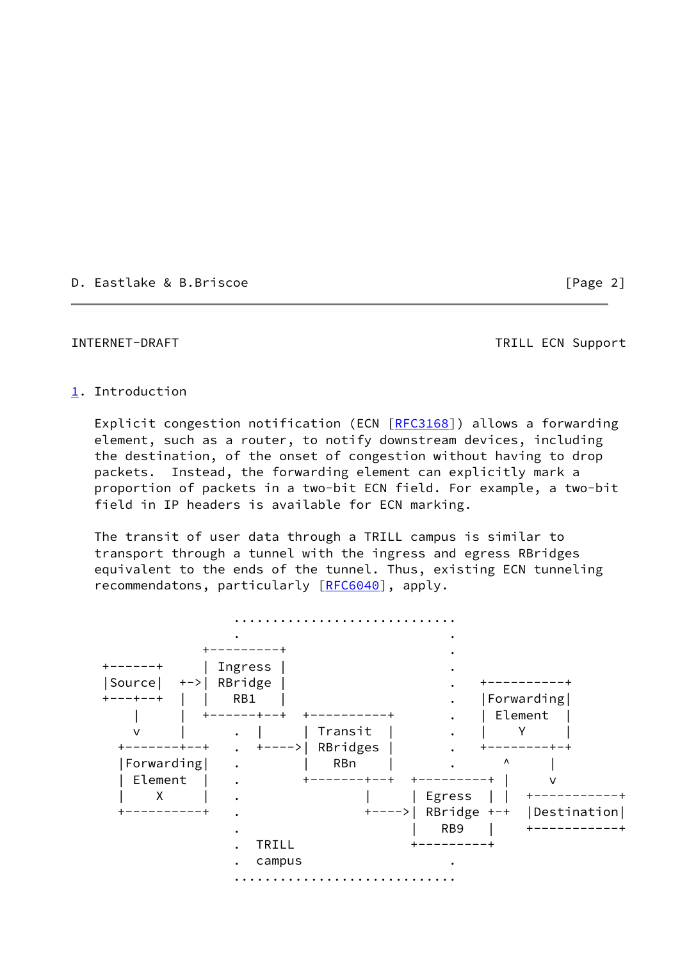D. Eastlake & B.Briscoe [Page 2]

### <span id="page-2-1"></span>INTERNET-DRAFT TRILL ECN Support

### <span id="page-2-0"></span>[1](#page-2-0). Introduction

 Explicit congestion notification (ECN [[RFC3168](https://datatracker.ietf.org/doc/pdf/rfc3168)]) allows a forwarding element, such as a router, to notify downstream devices, including the destination, of the onset of congestion without having to drop packets. Instead, the forwarding element can explicitly mark a proportion of packets in a two-bit ECN field. For example, a two-bit field in IP headers is available for ECN marking.

 The transit of user data through a TRILL campus is similar to transport through a tunnel with the ingress and egress RBridges equivalent to the ends of the tunnel. Thus, existing ECN tunneling recommendatons, particularly [\[RFC6040](https://datatracker.ietf.org/doc/pdf/rfc6040)], apply.

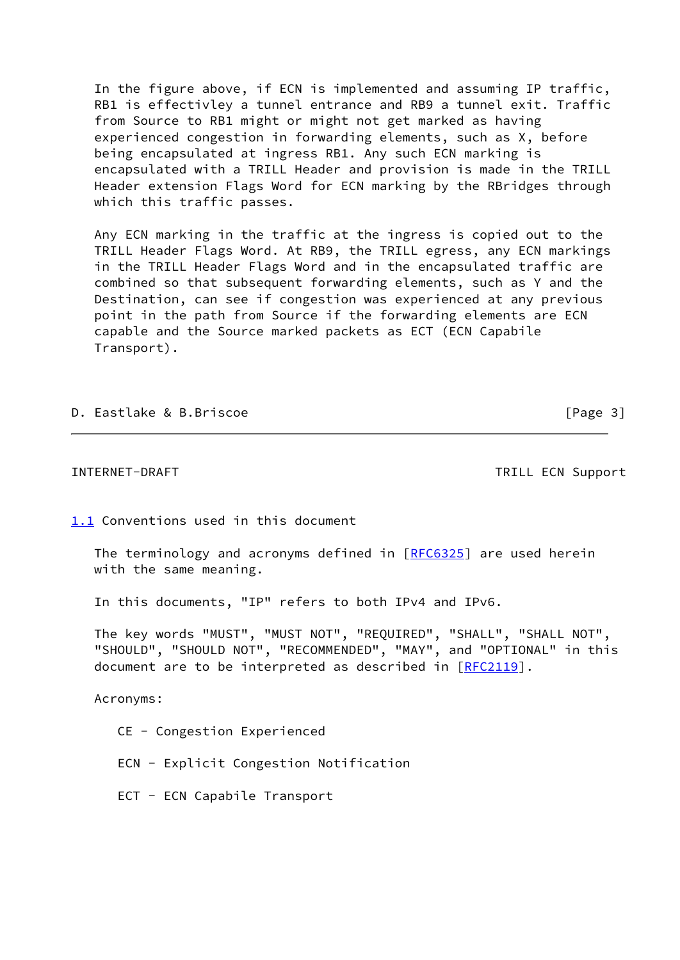In the figure above, if ECN is implemented and assuming IP traffic, RB1 is effectivley a tunnel entrance and RB9 a tunnel exit. Traffic from Source to RB1 might or might not get marked as having experienced congestion in forwarding elements, such as X, before being encapsulated at ingress RB1. Any such ECN marking is encapsulated with a TRILL Header and provision is made in the TRILL Header extension Flags Word for ECN marking by the RBridges through which this traffic passes.

 Any ECN marking in the traffic at the ingress is copied out to the TRILL Header Flags Word. At RB9, the TRILL egress, any ECN markings in the TRILL Header Flags Word and in the encapsulated traffic are combined so that subsequent forwarding elements, such as Y and the Destination, can see if congestion was experienced at any previous point in the path from Source if the forwarding elements are ECN capable and the Source marked packets as ECT (ECN Capabile Transport).

D. Eastlake & B.Briscoe [Page 3]

<span id="page-3-1"></span>INTERNET-DRAFT TRILL ECN Support

<span id="page-3-0"></span>[1.1](#page-3-0) Conventions used in this document

The terminology and acronyms defined in [\[RFC6325](https://datatracker.ietf.org/doc/pdf/rfc6325)] are used herein with the same meaning.

In this documents, "IP" refers to both IPv4 and IPv6.

 The key words "MUST", "MUST NOT", "REQUIRED", "SHALL", "SHALL NOT", "SHOULD", "SHOULD NOT", "RECOMMENDED", "MAY", and "OPTIONAL" in this document are to be interpreted as described in [\[RFC2119](https://datatracker.ietf.org/doc/pdf/rfc2119)].

Acronyms:

CE - Congestion Experienced

ECN - Explicit Congestion Notification

ECT - ECN Capabile Transport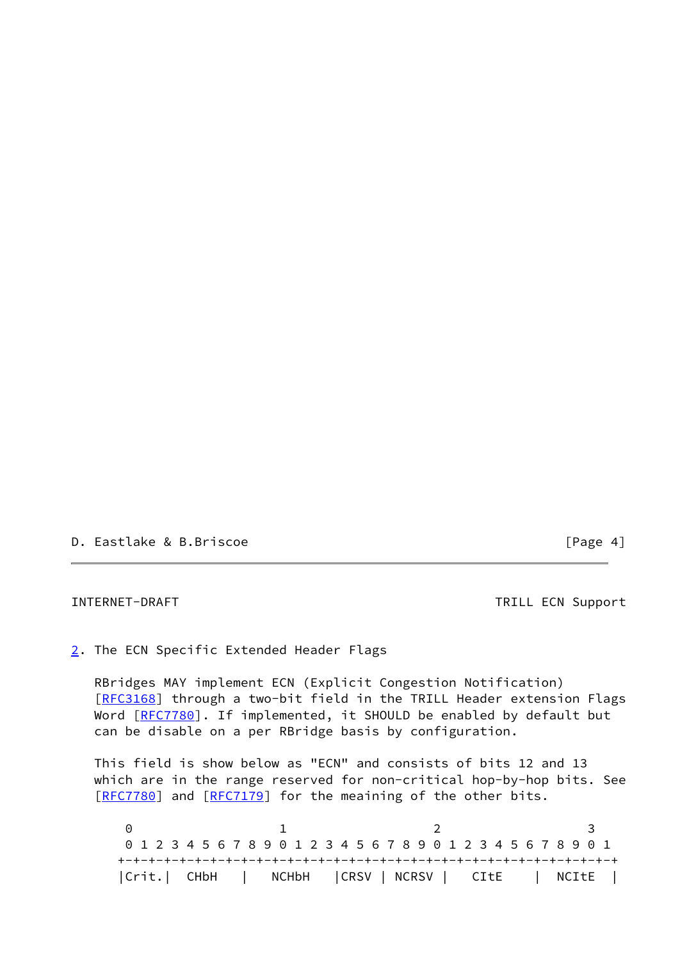D. Eastlake & B.Briscoe [Page 4]

<span id="page-4-1"></span>INTERNET-DRAFT TRILL ECN Support

<span id="page-4-0"></span>[2](#page-4-0). The ECN Specific Extended Header Flags

 RBridges MAY implement ECN (Explicit Congestion Notification) [\[RFC3168](https://datatracker.ietf.org/doc/pdf/rfc3168)] through a two-bit field in the TRILL Header extension Flags Word [\[RFC7780](https://datatracker.ietf.org/doc/pdf/rfc7780)]. If implemented, it SHOULD be enabled by default but can be disable on a per RBridge basis by configuration.

 This field is show below as "ECN" and consists of bits 12 and 13 which are in the range reserved for non-critical hop-by-hop bits. See [\[RFC7780](https://datatracker.ietf.org/doc/pdf/rfc7780)] and [[RFC7179](https://datatracker.ietf.org/doc/pdf/rfc7179)] for the meaining of the other bits.

0 1 2 3 0 1 2 3 4 5 6 7 8 9 0 1 2 3 4 5 6 7 8 9 0 1 2 3 4 5 6 7 8 9 0 1 +-+-+-+-+-+-+-+-+-+-+-+-+-+-+-+-+-+-+-+-+-+-+-+-+-+-+-+-+-+-+-+-+ |Crit.| CHbH | NCHbH |CRSV | NCRSV | CItE | NCItE |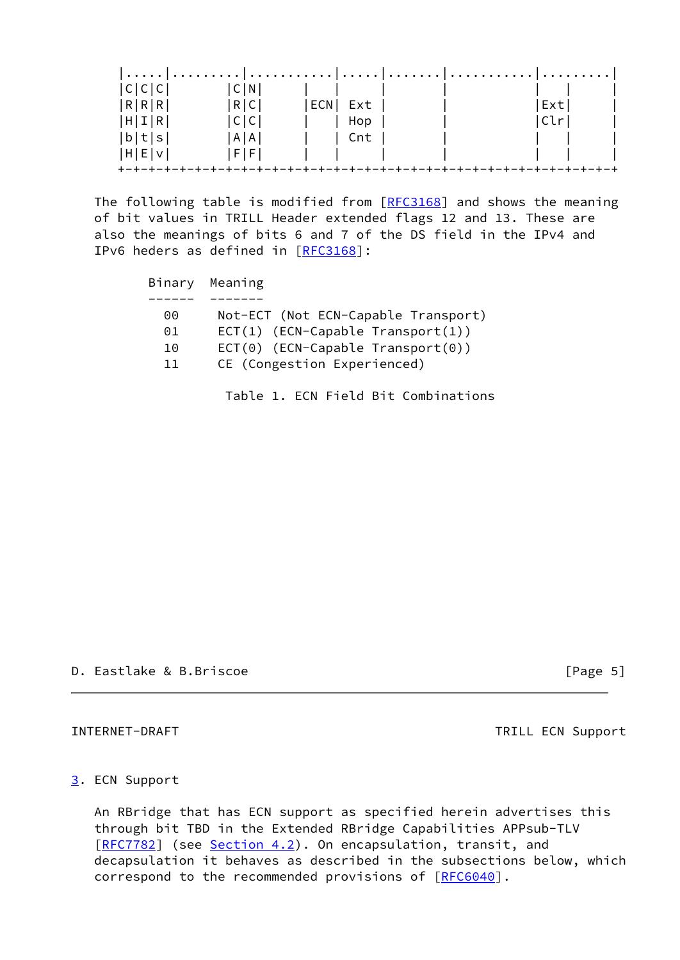| C C C  | C N           |     |     |  |      |  |
|--------|---------------|-----|-----|--|------|--|
| R[R R] | R C           | ECN | Ext |  | Ext  |  |
| H I R  | C C           |     | Hop |  | Clrl |  |
| b t s  | A   A         |     | Cnt |  |      |  |
| H E V  | $F$ $F$ $ F $ |     |     |  |      |  |
|        |               |     |     |  |      |  |

The following table is modified from [\[RFC3168](https://datatracker.ietf.org/doc/pdf/rfc3168)] and shows the meaning of bit values in TRILL Header extended flags 12 and 13. These are also the meanings of bits 6 and 7 of the DS field in the IPv4 and IPv6 heders as defined in [[RFC3168](https://datatracker.ietf.org/doc/pdf/rfc3168)]:

|    | Binary Meaning                      |
|----|-------------------------------------|
|    |                                     |
| 00 | Not-ECT (Not ECN-Capable Transport) |
| 01 | $ECT(1)$ (ECN-Capable Transport(1)) |
| 10 | $ECT(0)$ (ECN-Capable Transport(0)) |
| 11 | CE (Congestion Experienced)         |
|    |                                     |

Table 1. ECN Field Bit Combinations

D. Eastlake & B.Briscoe [Page 5]

<span id="page-5-1"></span>INTERNET-DRAFT TRILL ECN Support

### <span id="page-5-0"></span>[3](#page-5-0). ECN Support

 An RBridge that has ECN support as specified herein advertises this through bit TBD in the Extended RBridge Capabilities APPsub-TLV [\[RFC7782](https://datatracker.ietf.org/doc/pdf/rfc7782)] (see [Section 4.2](#page-9-3)). On encapsulation, transit, and decapsulation it behaves as described in the subsections below, which correspond to the recommended provisions of [\[RFC6040](https://datatracker.ietf.org/doc/pdf/rfc6040)].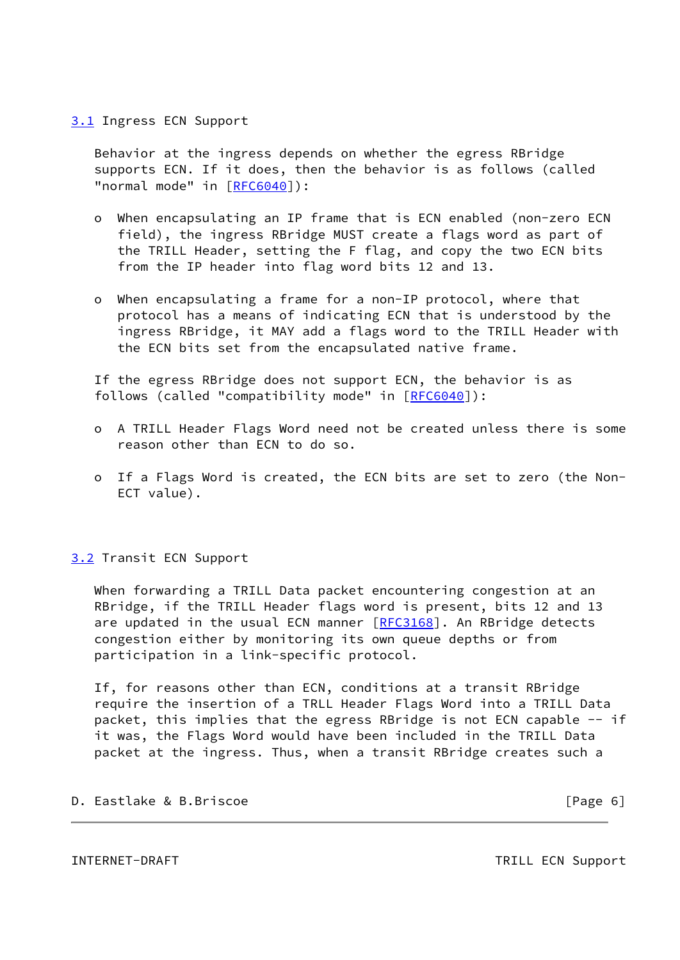### <span id="page-6-0"></span>[3.1](#page-6-0) Ingress ECN Support

 Behavior at the ingress depends on whether the egress RBridge supports ECN. If it does, then the behavior is as follows (called "normal mode" in [\[RFC6040](https://datatracker.ietf.org/doc/pdf/rfc6040)]):

- o When encapsulating an IP frame that is ECN enabled (non-zero ECN field), the ingress RBridge MUST create a flags word as part of the TRILL Header, setting the F flag, and copy the two ECN bits from the IP header into flag word bits 12 and 13.
- o When encapsulating a frame for a non-IP protocol, where that protocol has a means of indicating ECN that is understood by the ingress RBridge, it MAY add a flags word to the TRILL Header with the ECN bits set from the encapsulated native frame.

 If the egress RBridge does not support ECN, the behavior is as follows (called "compatibility mode" in [\[RFC6040](https://datatracker.ietf.org/doc/pdf/rfc6040)]):

- o A TRILL Header Flags Word need not be created unless there is some reason other than ECN to do so.
- o If a Flags Word is created, the ECN bits are set to zero (the Non- ECT value).

### <span id="page-6-1"></span>[3.2](#page-6-1) Transit ECN Support

 When forwarding a TRILL Data packet encountering congestion at an RBridge, if the TRILL Header flags word is present, bits 12 and 13 are updated in the usual ECN manner [\[RFC3168](https://datatracker.ietf.org/doc/pdf/rfc3168)]. An RBridge detects congestion either by monitoring its own queue depths or from participation in a link-specific protocol.

 If, for reasons other than ECN, conditions at a transit RBridge require the insertion of a TRLL Header Flags Word into a TRILL Data packet, this implies that the egress RBridge is not ECN capable -- if it was, the Flags Word would have been included in the TRILL Data packet at the ingress. Thus, when a transit RBridge creates such a

## D. Eastlake & B.Briscoe [Page 6]

<span id="page-6-2"></span>INTERNET-DRAFT TRILL ECN Support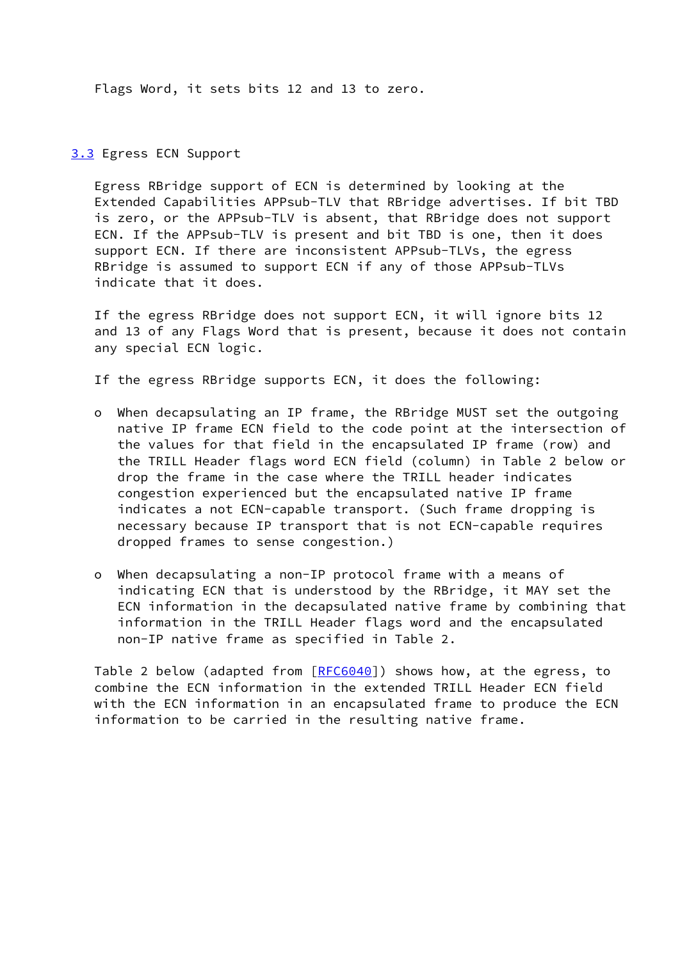Flags Word, it sets bits 12 and 13 to zero.

### <span id="page-7-0"></span>[3.3](#page-7-0) Egress ECN Support

 Egress RBridge support of ECN is determined by looking at the Extended Capabilities APPsub-TLV that RBridge advertises. If bit TBD is zero, or the APPsub-TLV is absent, that RBridge does not support ECN. If the APPsub-TLV is present and bit TBD is one, then it does support ECN. If there are inconsistent APPsub-TLVs, the egress RBridge is assumed to support ECN if any of those APPsub-TLVs indicate that it does.

 If the egress RBridge does not support ECN, it will ignore bits 12 and 13 of any Flags Word that is present, because it does not contain any special ECN logic.

If the egress RBridge supports ECN, it does the following:

- o When decapsulating an IP frame, the RBridge MUST set the outgoing native IP frame ECN field to the code point at the intersection of the values for that field in the encapsulated IP frame (row) and the TRILL Header flags word ECN field (column) in Table 2 below or drop the frame in the case where the TRILL header indicates congestion experienced but the encapsulated native IP frame indicates a not ECN-capable transport. (Such frame dropping is necessary because IP transport that is not ECN-capable requires dropped frames to sense congestion.)
- o When decapsulating a non-IP protocol frame with a means of indicating ECN that is understood by the RBridge, it MAY set the ECN information in the decapsulated native frame by combining that information in the TRILL Header flags word and the encapsulated non-IP native frame as specified in Table 2.

 Table 2 below (adapted from [\[RFC6040](https://datatracker.ietf.org/doc/pdf/rfc6040)]) shows how, at the egress, to combine the ECN information in the extended TRILL Header ECN field with the ECN information in an encapsulated frame to produce the ECN information to be carried in the resulting native frame.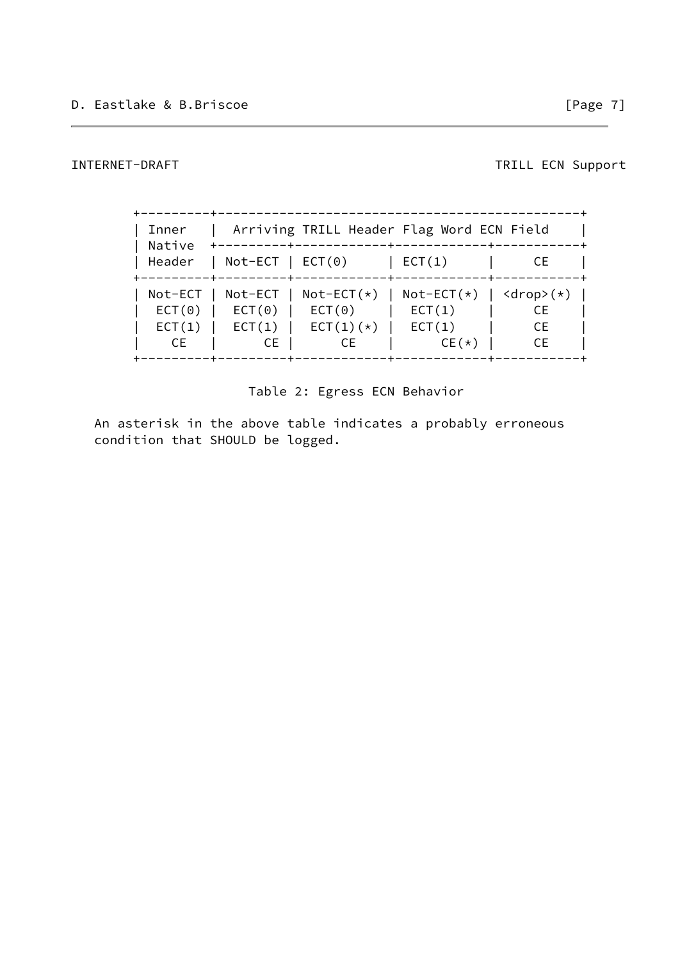INTERNET-DRAFT TRILL ECN Support

| Inner<br>Native | Arriving TRILL Header Flag Word ECN Field |              |                                           |           |  |
|-----------------|-------------------------------------------|--------------|-------------------------------------------|-----------|--|
| Header          | $Not-ECT$   $ECT(0)$                      |              | ECT(1)                                    | CЕ        |  |
| Not-ECT         | Not-ECT                                   | $Not-ECT(*)$ | $Not-ECT(*)$   $\langle drop \rangle (*)$ | CE.       |  |
| ECT(0)          | ECT(0)                                    | ECT(0)       | ECT(1)                                    |           |  |
| ECT(1)          | ECT(1)                                    | $ECT(1)(*)$  | ECT(1)                                    | <b>CE</b> |  |
| CE.             | <b>CE</b>                                 | CE.          | $CE(*)$                                   | <b>CE</b> |  |

Table 2: Egress ECN Behavior

 An asterisk in the above table indicates a probably erroneous condition that SHOULD be logged.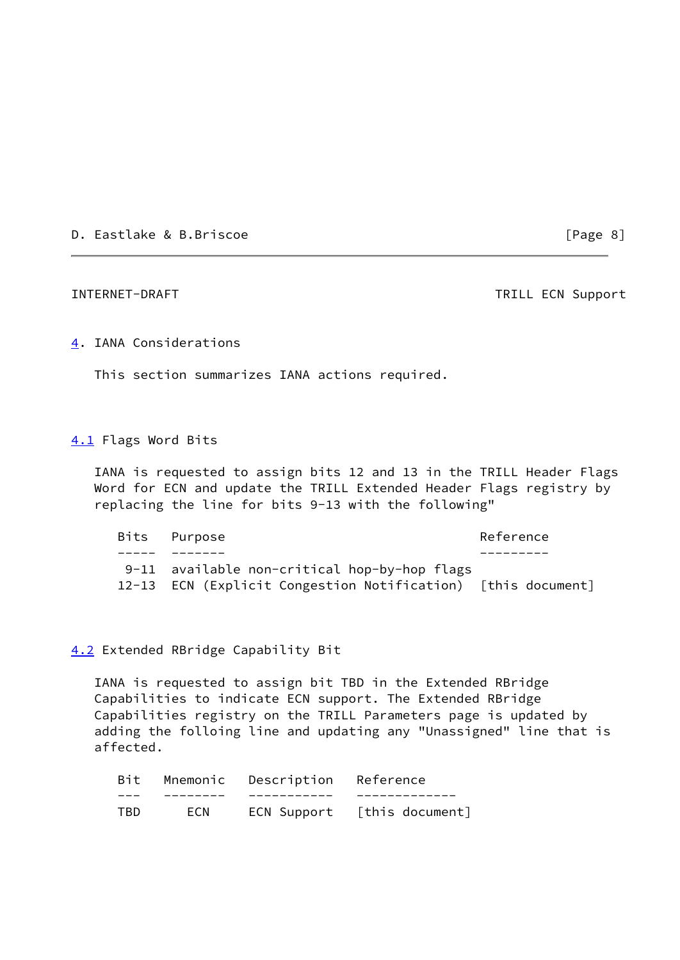D. Eastlake & B.Briscoe [Page 8]

<span id="page-9-1"></span>INTERNET-DRAFT TRILL ECN Support

### <span id="page-9-0"></span>[4](#page-9-0). IANA Considerations

This section summarizes IANA actions required.

# <span id="page-9-2"></span>[4.1](#page-9-2) Flags Word Bits

 IANA is requested to assign bits 12 and 13 in the TRILL Header Flags Word for ECN and update the TRILL Extended Header Flags registry by replacing the line for bits 9-13 with the following"

|  | Bits Purpose                                                 | Reference |
|--|--------------------------------------------------------------|-----------|
|  |                                                              |           |
|  | 9-11 available non-critical hop-by-hop flags                 |           |
|  | 12-13 ECN (Explicit Congestion Notification) [this document] |           |

### <span id="page-9-3"></span>[4.2](#page-9-3) Extended RBridge Capability Bit

 IANA is requested to assign bit TBD in the Extended RBridge Capabilities to indicate ECN support. The Extended RBridge Capabilities registry on the TRILL Parameters page is updated by adding the folloing line and updating any "Unassigned" line that is affected.

| Bit |            | Mnemonic Description Reference |                             |
|-----|------------|--------------------------------|-----------------------------|
|     |            |                                |                             |
| TBD | <b>ECN</b> |                                | ECN Support [this document] |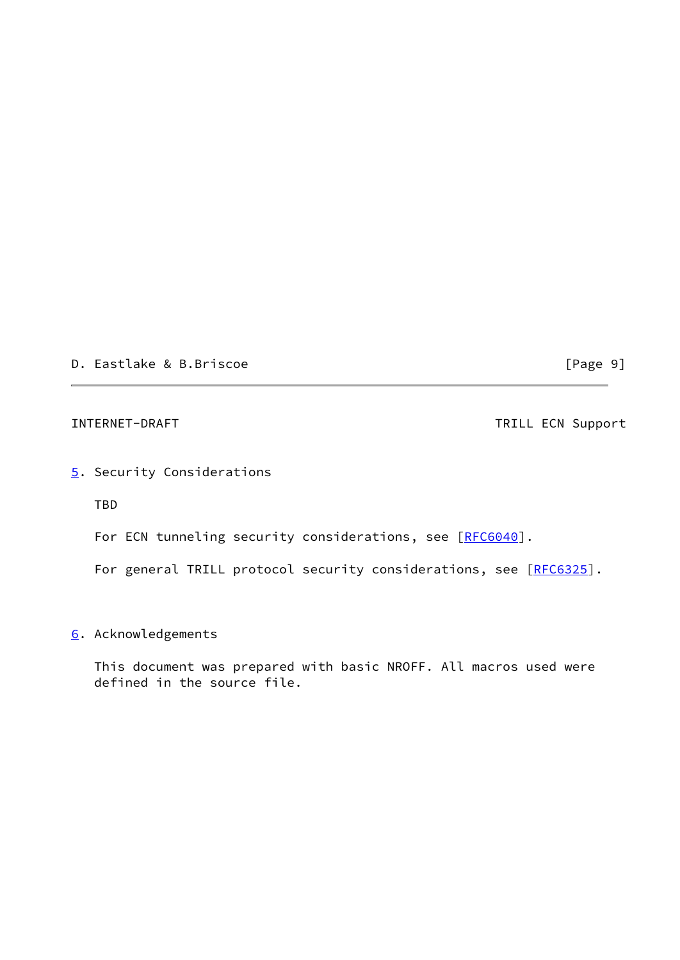D. Eastlake & B.Briscoe [Page 9]

<span id="page-10-1"></span>INTERNET-DRAFT TRILL ECN Support

# <span id="page-10-0"></span>[5](#page-10-0). Security Considerations

TBD

For ECN tunneling security considerations, see [\[RFC6040](https://datatracker.ietf.org/doc/pdf/rfc6040)].

For general TRILL protocol security considerations, see [\[RFC6325](https://datatracker.ietf.org/doc/pdf/rfc6325)].

## <span id="page-10-2"></span>[6](#page-10-2). Acknowledgements

 This document was prepared with basic NROFF. All macros used were defined in the source file.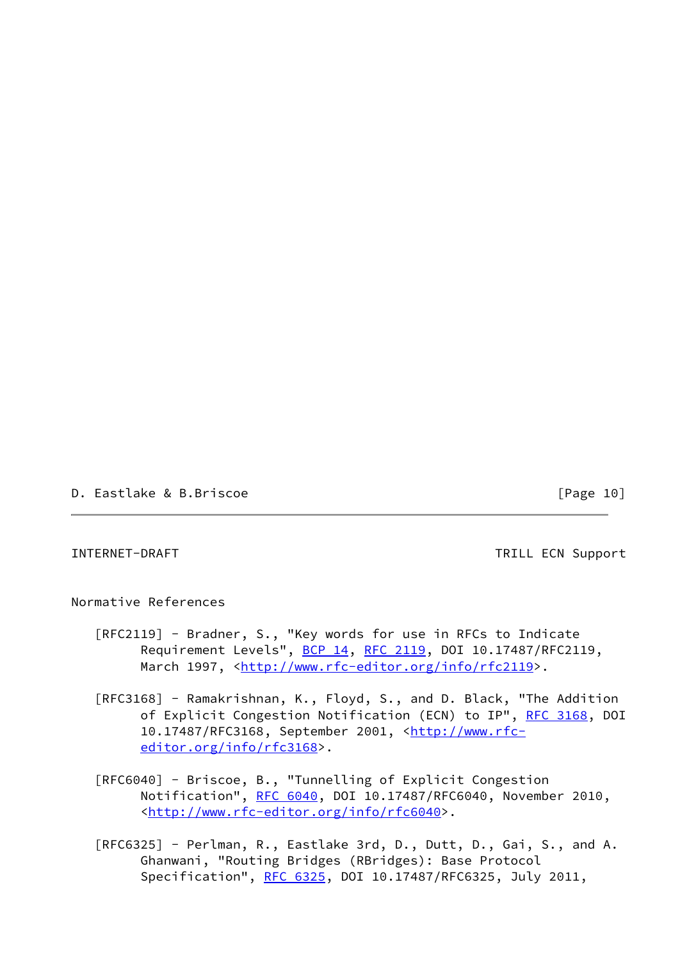D. Eastlake & B.Briscoe [Page 10]

<span id="page-11-0"></span>INTERNET-DRAFT TRILL ECN Support

Normative References

- [RFC2119] Bradner, S., "Key words for use in RFCs to Indicate Requirement Levels", [BCP 14](https://datatracker.ietf.org/doc/pdf/bcp14), [RFC 2119,](https://datatracker.ietf.org/doc/pdf/rfc2119) DOI 10.17487/RFC2119, March 1997, <<http://www.rfc-editor.org/info/rfc2119>>.
- [RFC3168] Ramakrishnan, K., Floyd, S., and D. Black, "The Addition of Explicit Congestion Notification (ECN) to IP", [RFC 3168](https://datatracker.ietf.org/doc/pdf/rfc3168), DOI 10.17487/RFC3168, September 2001, [<http://www.rfc](http://www.rfc-editor.org/info/rfc3168) [editor.org/info/rfc3168](http://www.rfc-editor.org/info/rfc3168)>.
- [RFC6040] Briscoe, B., "Tunnelling of Explicit Congestion Notification", [RFC 6040](https://datatracker.ietf.org/doc/pdf/rfc6040), DOI 10.17487/RFC6040, November 2010, <<http://www.rfc-editor.org/info/rfc6040>>.
- [RFC6325] Perlman, R., Eastlake 3rd, D., Dutt, D., Gai, S., and A. Ghanwani, "Routing Bridges (RBridges): Base Protocol Specification", [RFC 6325](https://datatracker.ietf.org/doc/pdf/rfc6325), DOI 10.17487/RFC6325, July 2011,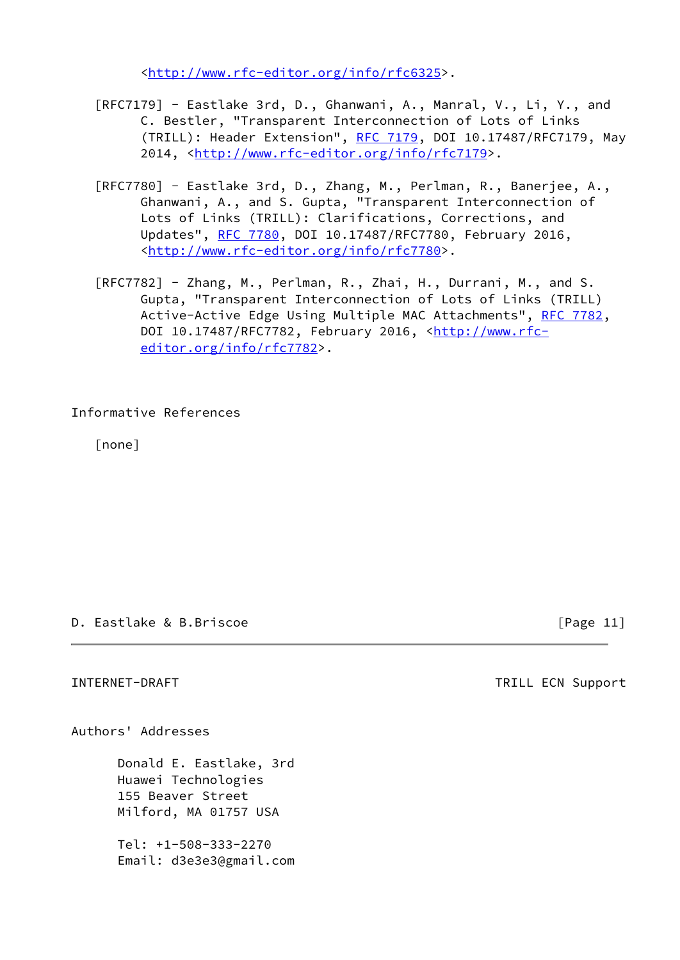<<http://www.rfc-editor.org/info/rfc6325>>.

- [RFC7179] Eastlake 3rd, D., Ghanwani, A., Manral, V., Li, Y., and C. Bestler, "Transparent Interconnection of Lots of Links (TRILL): Header Extension", [RFC 7179](https://datatracker.ietf.org/doc/pdf/rfc7179), DOI 10.17487/RFC7179, May 2014, [<http://www.rfc-editor.org/info/rfc7179](http://www.rfc-editor.org/info/rfc7179)>.
- [RFC7780] Eastlake 3rd, D., Zhang, M., Perlman, R., Banerjee, A., Ghanwani, A., and S. Gupta, "Transparent Interconnection of Lots of Links (TRILL): Clarifications, Corrections, and Updates", [RFC 7780](https://datatracker.ietf.org/doc/pdf/rfc7780), DOI 10.17487/RFC7780, February 2016, <<http://www.rfc-editor.org/info/rfc7780>>.
- [RFC7782] Zhang, M., Perlman, R., Zhai, H., Durrani, M., and S. Gupta, "Transparent Interconnection of Lots of Links (TRILL) Active-Active Edge Using Multiple MAC Attachments", [RFC 7782](https://datatracker.ietf.org/doc/pdf/rfc7782), DOI 10.17487/RFC7782, February 2016, <[http://www.rfc](http://www.rfc-editor.org/info/rfc7782) [editor.org/info/rfc7782](http://www.rfc-editor.org/info/rfc7782)>.

## Informative References

[none]

### D. Eastlake & B.Briscoe [Page 11]

<span id="page-12-0"></span>INTERNET-DRAFT TRILL ECN Support

Authors' Addresses

 Donald E. Eastlake, 3rd Huawei Technologies 155 Beaver Street Milford, MA 01757 USA

 Tel: +1-508-333-2270 Email: d3e3e3@gmail.com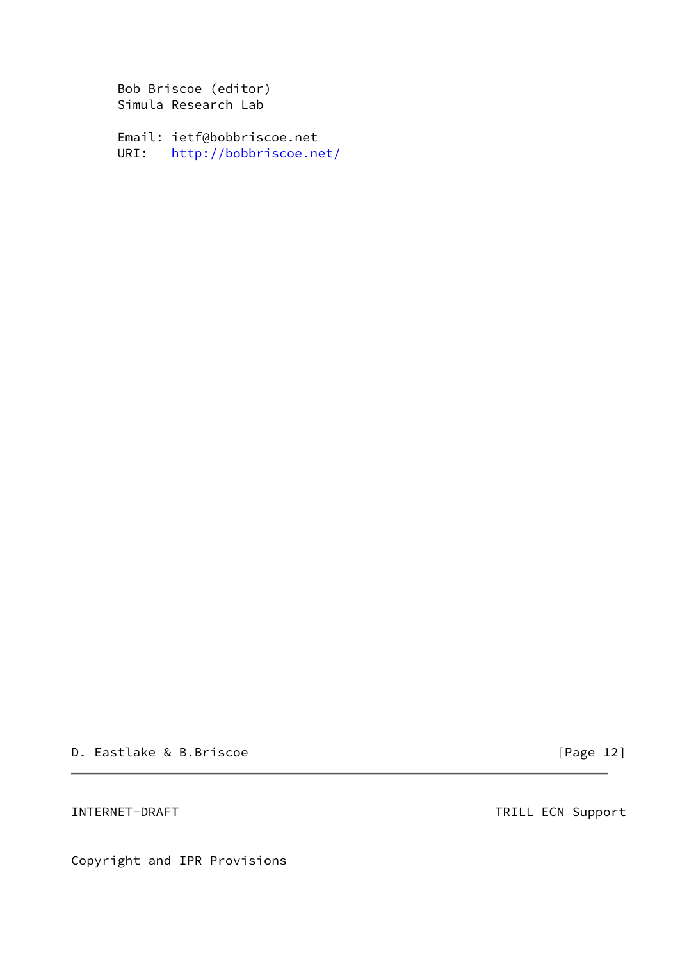Bob Briscoe (editor) Simula Research Lab

 Email: ietf@bobbriscoe.net URI: <http://bobbriscoe.net/>

D. Eastlake & B.Briscoe [Page 12]

INTERNET-DRAFT TRILL ECN Support

Copyright and IPR Provisions